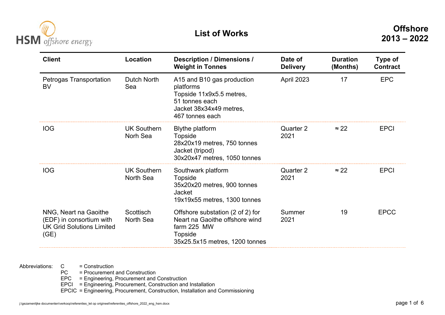

| <b>Client</b>                                                                                 | Location                               | <b>Description / Dimensions /</b><br><b>Weight in Tonnes</b>                                                                        | Date of<br><b>Delivery</b> | <b>Duration</b><br>(Months) | <b>Type of</b><br><b>Contract</b> |
|-----------------------------------------------------------------------------------------------|----------------------------------------|-------------------------------------------------------------------------------------------------------------------------------------|----------------------------|-----------------------------|-----------------------------------|
| Petrogas Transportation<br>BV                                                                 | Dutch North<br>Sea                     | A15 and B10 gas production<br>platforms<br>Topside 11x9x5.5 metres,<br>51 tonnes each<br>Jacket 38x34x49 metres,<br>467 tonnes each | April 2023                 | 17                          | <b>EPC</b>                        |
| <b>IOG</b>                                                                                    | <b>UK Southern</b><br>Norh Sea         | <b>Blythe platform</b><br><b>Topside</b><br>28x20x19 metres, 750 tonnes<br>Jacket (tripod)<br>30x20x47 metres, 1050 tonnes          | Quarter 2<br>2021          | $\approx$ 22                | <b>EPCI</b>                       |
| <b>IOG</b>                                                                                    | <b>UK Southern</b><br><b>North Sea</b> | Southwark platform<br>Topside<br>35x20x20 metres, 900 tonnes<br><b>Jacket</b><br>19x19x55 metres, 1300 tonnes                       | Quarter 2<br>2021          | $\approx$ 22                | <b>EPCI</b>                       |
| NNG, Neart na Gaoithe<br>(EDF) in consortium with<br><b>UK Grid Solutions Limited</b><br>(GE) | Scottisch<br><b>North Sea</b>          | Offshore substation (2 of 2) for<br>Neart na Gaoithe offshore wind<br>farm 225 MW<br>Topside<br>35x25.5x15 metres, 1200 tonnes      | Summer<br>2021             | 19                          | <b>EPCC</b>                       |

= Construction

**PC** = Procurement and Construction

EPC = Engineering, Procurement and Construction

EPCI = Engineering, Procurement, Construction and Installation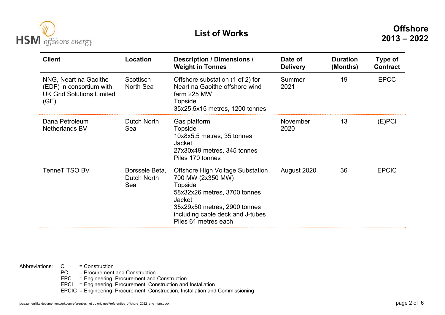

| <b>Client</b>                                                                                 | Location                             | <b>Description / Dimensions /</b><br><b>Weight in Tonnes</b>                                                                                                                                                         | Date of<br><b>Delivery</b> | <b>Duration</b><br>(Months) | Type of<br><b>Contract</b> |
|-----------------------------------------------------------------------------------------------|--------------------------------------|----------------------------------------------------------------------------------------------------------------------------------------------------------------------------------------------------------------------|----------------------------|-----------------------------|----------------------------|
| NNG, Neart na Gaoithe<br>(EDF) in consortium with<br><b>UK Grid Solutions Limited</b><br>(GE) | Scottisch<br>North Sea               | Offshore substation (1 of 2) for<br>Neart na Gaoithe offshore wind<br>farm 225 MW<br>Topside<br>35x25.5x15 metres, 1200 tonnes                                                                                       | Summer<br>2021             | 19                          | <b>EPCC</b>                |
| Dana Petroleum<br><b>Netherlands BV</b>                                                       | Dutch North<br>Sea                   | Gas platform<br>Topside<br>10x8x5.5 metres, 35 tonnes<br><b>Jacket</b><br>27x30x49 metres, 345 tonnes<br>Piles 170 tonnes                                                                                            | November<br>2020           | 13                          | $(E)$ PCI                  |
| <b>TenneT TSO BV</b>                                                                          | Borssele Beta,<br>Dutch North<br>Sea | <b>Offshore High Voltage Substation</b><br>700 MW (2x350 MW)<br>Topside<br>58x32x26 metres, 3700 tonnes<br><b>Jacket</b><br>35x29x50 metres, 2900 tonnes<br>including cable deck and J-tubes<br>Piles 61 metres each | August 2020                | 36                          | <b>EPCIC</b>               |

= Construction

**PC** = Procurement and Construction

EPC = Engineering, Procurement and Construction

EPCI = Engineering, Procurement, Construction and Installation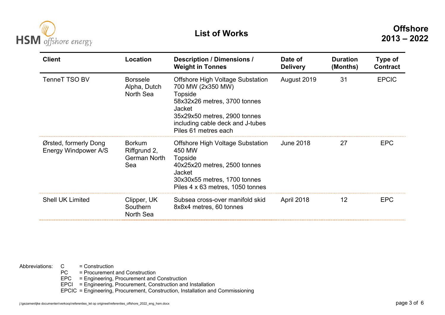

| <b>Client</b>                                 | Location                                             | <b>Description / Dimensions /</b><br><b>Weight in Tonnes</b>                                                                                                                                                  | Date of<br><b>Delivery</b> | <b>Duration</b><br>(Months) | Type of<br><b>Contract</b> |
|-----------------------------------------------|------------------------------------------------------|---------------------------------------------------------------------------------------------------------------------------------------------------------------------------------------------------------------|----------------------------|-----------------------------|----------------------------|
| <b>TenneT TSO BV</b>                          | <b>Borssele</b><br>Alpha, Dutch<br>North Sea         | <b>Offshore High Voltage Substation</b><br>700 MW (2x350 MW)<br>Topside<br>58x32x26 metres, 3700 tonnes<br>Jacket<br>35x29x50 metres, 2900 tonnes<br>including cable deck and J-tubes<br>Piles 61 metres each | August 2019                | 31                          | <b>EPCIC</b>               |
| Ørsted, formerly Dong<br>Energy Windpower A/S | <b>Borkum</b><br>Riffgrund 2,<br>German North<br>Sea | <b>Offshore High Voltage Substation</b><br>450 MW<br>Topside<br>40x25x20 metres, 2500 tonnes<br>Jacket<br>30x30x55 metres, 1700 tonnes<br>Piles 4 x 63 metres, 1050 tonnes                                    | <b>June 2018</b>           | 27                          | <b>EPC</b>                 |
| <b>Shell UK Limited</b>                       | Clipper, UK<br>Southern<br>North Sea                 | Subsea cross-over manifold skid<br>8x8x4 metres, 60 tonnes                                                                                                                                                    | April 2018                 | 12                          | <b>EPC</b>                 |

= Construction

**PC** = Procurement and Construction

EPC = Engineering, Procurement and Construction

EPCI = Engineering, Procurement, Construction and Installation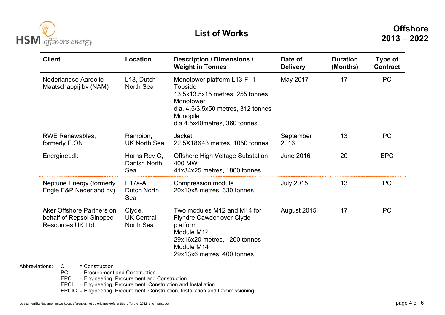

| <b>Client</b>                                                              | Location                                 | <b>Description / Dimensions /</b><br><b>Weight in Tonnes</b>                                                                                                              | Date of<br><b>Delivery</b> | <b>Duration</b><br>(Months) | Type of<br><b>Contract</b> |
|----------------------------------------------------------------------------|------------------------------------------|---------------------------------------------------------------------------------------------------------------------------------------------------------------------------|----------------------------|-----------------------------|----------------------------|
| Nederlandse Aardolie<br>Maatschappij bv (NAM)                              | L <sub>13</sub> , Dutch<br>North Sea     | Monotower platform L13-FI-1<br>Topside<br>13.5x13.5x15 metres, 255 tonnes<br>Monotower<br>dia. 4.5/3.5x50 metres, 312 tonnes<br>Monopile<br>dia 4.5x40 metres, 360 tonnes | May 2017                   | 17                          | <b>PC</b>                  |
| <b>RWE Renewables,</b><br>formerly E.ON                                    | Rampion,<br><b>UK North Sea</b>          | <b>Jacket</b><br>22,5X18X43 metres, 1050 tonnes                                                                                                                           | September<br>2016          | 13                          | <b>PC</b>                  |
| Energinet.dk                                                               | Horns Rev C,<br>Danish North<br>Sea      | <b>Offshore High Voltage Substation</b><br>400 MW<br>41x34x25 metres, 1800 tonnes                                                                                         | <b>June 2016</b>           | 20                          | <b>EPC</b>                 |
| <b>Neptune Energy (formerly</b><br>Engie E&P Nederland bv)                 | $E17a-A$<br><b>Dutch North</b><br>Sea    | Compression module<br>20x10x8 metres, 330 tonnes                                                                                                                          | <b>July 2015</b>           | 13                          | <b>PC</b>                  |
| Aker Offshore Partners on<br>behalf of Repsol Sinopec<br>Resources UK Ltd. | Clyde,<br><b>UK Central</b><br>North Sea | Two modules M12 and M14 for<br>Flyndre Cawdor over Clyde<br>platform<br>Module M12<br>29x16x20 metres, 1200 tonnes<br>Module M14<br>29x13x6 metres, 400 tonnes            | August 2015                | 17                          | <b>PC</b>                  |

**PC** = Procurement and Construction

EPC = Engineering, Procurement and Construction

EPCI = Engineering, Procurement, Construction and Installation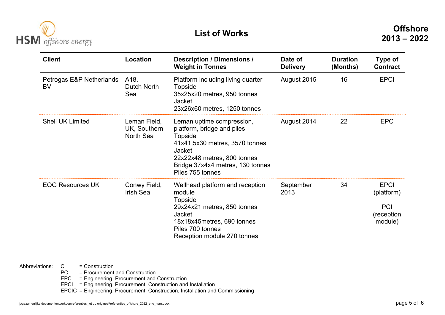

| <b>Client</b>                         | Location                                  | <b>Description / Dimensions /</b><br><b>Weight in Tonnes</b>                                                                                                                                          | Date of<br><b>Delivery</b> | <b>Duration</b><br>(Months) | Type of<br><b>Contract</b>                                       |
|---------------------------------------|-------------------------------------------|-------------------------------------------------------------------------------------------------------------------------------------------------------------------------------------------------------|----------------------------|-----------------------------|------------------------------------------------------------------|
| Petrogas E&P Netherlands<br><b>BV</b> | A18,<br>Dutch North<br>Sea                | Platform including living quarter<br>Topside<br>35x25x20 metres, 950 tonnes<br>Jacket<br>23x26x60 metres, 1250 tonnes                                                                                 | August 2015                | 16                          | <b>EPCI</b>                                                      |
| <b>Shell UK Limited</b>               | Leman Field,<br>UK, Southern<br>North Sea | Leman uptime compression,<br>platform, bridge and piles<br>Topside<br>41x41,5x30 metres, 3570 tonnes<br>Jacket<br>22x22x48 metres, 800 tonnes<br>Bridge 37x4x4 metres, 130 tonnes<br>Piles 755 tonnes | August 2014                | 22                          | <b>EPC</b>                                                       |
| <b>EOG Resources UK</b>               | Conwy Field,<br><b>Irish Sea</b>          | Wellhead platform and reception<br>module<br>Topside<br>29x24x21 metres, 850 tonnes<br>Jacket<br>18x18x45metres, 690 tonnes<br>Piles 700 tonnes<br>Reception module 270 tonnes                        | September<br>2013          | 34                          | <b>EPCI</b><br>(platform)<br><b>PCI</b><br>(reception<br>module) |

= Construction

**PC** = Procurement and Construction

EPC = Engineering, Procurement and Construction

EPCI = Engineering, Procurement, Construction and Installation